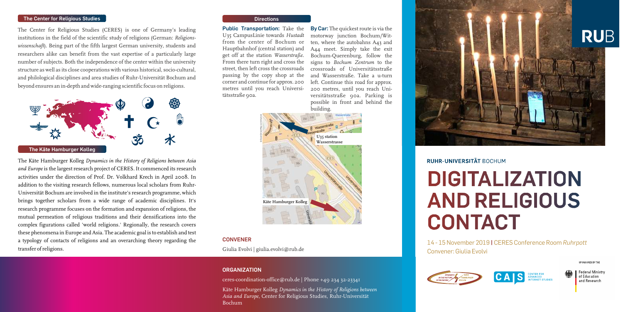**By Car:** The quickest route is via the motorway junction Bochum/Witten, where the autobahns A43 and A44 meet. Simply take the exit Bochum-Querenburg, follow the signs to *Bochum Zentrum* to the crossroads of Universitätsstraße and Wasserstraße. Take a u-turn left. Continue this road for approx. 200 metres, until you reach Universitätsstraße 90a. Parking is possible in front and behind the building.

**Public Transportation:** Take the U35 CampusLinie towards *Hustadt* from the center of Bochum or Hauptbahnhof (central station) and get off at the station *Wasserstraße*. From there turn right and cross the street, then left cross the crossroads passing by the copy shop at the corner and continue for approx. 200 metres until you reach Universitätsstraße 90a.



#### **Directions**

The Center for Religious Studies (CERES) is one of Germany's leading institutions in the field of the scientific study of religions (German: *Religionswissenschaft*). Being part of the fifth largest German university, students and researchers alike can benefit from the vast expertise of a particularly large number of subjects. Both the independence of the center within the university structure as well as its close cooperations with various historical, socio-cultural, and philological disciplines and area studies of Ruhr-Universität Bochum and beyond ensures an in-depth and wide-ranging scientific focus on religions.

The Käte Hamburger Kolleg *Dynamics in the History of Religions between Asia and Europe* is the largest research project of CERES. It commenced its research activities under the direction of Prof. Dr. Volkhard Krech in April 2008. In addition to the visiting research fellows, numerous local scholars from Ruhr-Universität Bochum are involved in the institute's research programme, which brings together scholars from a wide range of academic disciplines. It's research programme focuses on the formation and expansion of religions, the mutual permeation of religious traditions and their densifications into the complex figurations called 'world religions.' Regionally, the research covers these phenomena in Europe and Asia. The academic goal is to establish and test a typology of contacts of religions and an overarching theory regarding the transfer of religions.

#### **The Center for Religious Studies**



14 - 15 November 2019 **|** CERES Conference Room *Ruhrpott* Convener: Giulia Evolvi



SPONSORED BY THE

Federal Ministry<br>of Education and Research

#### **CONVENER**

Giulia Evolvi | giulia.evolvi@rub.de

#### **ORGANIZATION**

ceres-coordination-office@rub.de | Phone +49 234 32-23341

Käte Hamburger Kolleg *Dynamics in the History of Religions between Asia and Europe*, Center for Religious Studies, Ruhr-Universität Bochum



## **RUHR-UNIVERSITÄT BOCHUM**

# **DIGITALIZATION AND RELIGIOUS CONTACT**